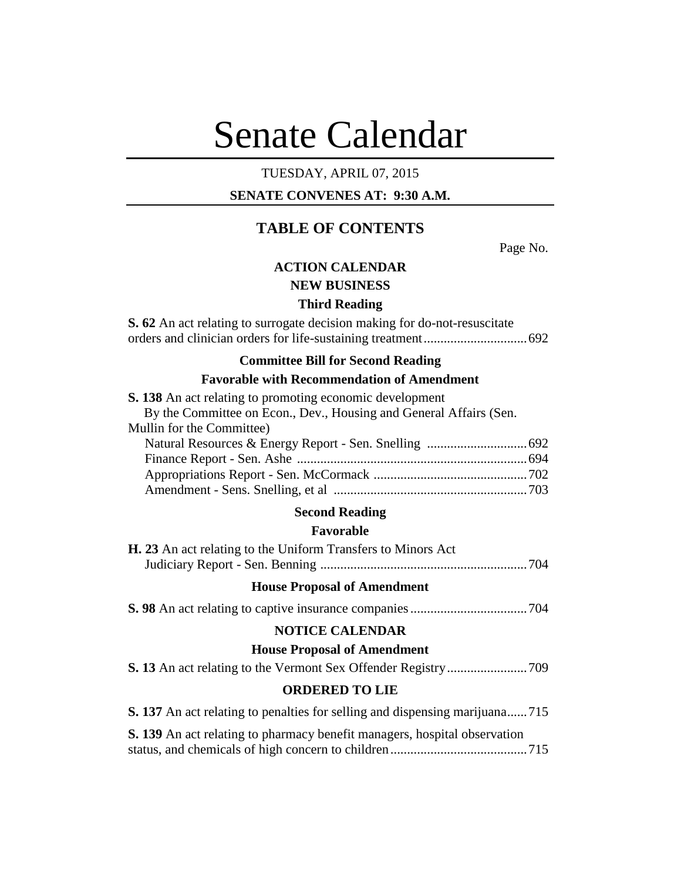# Senate Calendar

## TUESDAY, APRIL 07, 2015

# **SENATE CONVENES AT: 9:30 A.M.**

# **TABLE OF CONTENTS**

Page No.

# **ACTION CALENDAR**

## **NEW BUSINESS**

#### **Third Reading**

**S. 62** An act relating to surrogate decision making for do-not-resuscitate orders and clinician orders for life-sustaining treatment...............................692

## **Committee Bill for Second Reading**

## **Favorable with Recommendation of Amendment**

| <b>S. 138</b> An act relating to promoting economic development    |  |
|--------------------------------------------------------------------|--|
| By the Committee on Econ., Dev., Housing and General Affairs (Sen. |  |
| Mullin for the Committee)                                          |  |
|                                                                    |  |
|                                                                    |  |
|                                                                    |  |
|                                                                    |  |

#### **Second Reading**

## **Favorable**

| <b>H. 23</b> An act relating to the Uniform Transfers to Minors Act |  |
|---------------------------------------------------------------------|--|
|                                                                     |  |

#### **House Proposal of Amendment**

**S. 98** An act relating to captive insurance companies...................................704

## **NOTICE CALENDAR**

#### **House Proposal of Amendment**

## **ORDERED TO LIE**

**S. 137** An act relating to penalties for selling and dispensing marijuana......715 **S. 139** An act relating to pharmacy benefit managers, hospital observation status, and chemicals of high concern to children.........................................715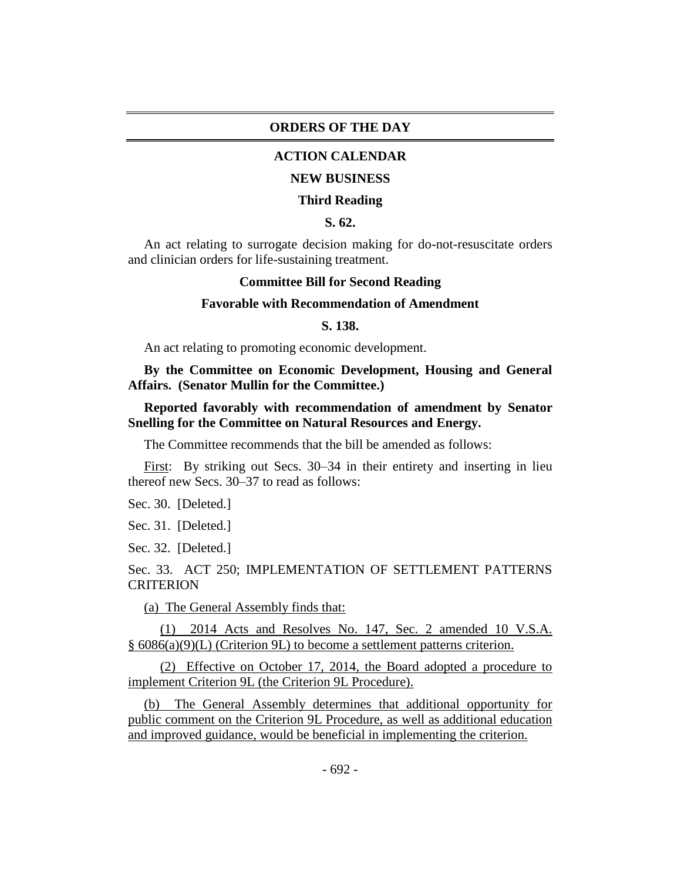#### **ORDERS OF THE DAY**

## **ACTION CALENDAR**

#### **NEW BUSINESS**

#### **Third Reading**

#### **S. 62.**

An act relating to surrogate decision making for do-not-resuscitate orders and clinician orders for life-sustaining treatment.

#### **Committee Bill for Second Reading**

#### **Favorable with Recommendation of Amendment**

#### **S. 138.**

An act relating to promoting economic development.

**By the Committee on Economic Development, Housing and General Affairs. (Senator Mullin for the Committee.)**

## **Reported favorably with recommendation of amendment by Senator Snelling for the Committee on Natural Resources and Energy.**

The Committee recommends that the bill be amended as follows:

First: By striking out Secs. 30–34 in their entirety and inserting in lieu thereof new Secs. 30–37 to read as follows:

Sec. 30. [Deleted.]

Sec. 31. [Deleted.]

Sec. 32. [Deleted.]

Sec. 33. ACT 250; IMPLEMENTATION OF SETTLEMENT PATTERNS **CRITERION** 

(a) The General Assembly finds that:

(1) 2014 Acts and Resolves No. 147, Sec. 2 amended 10 V.S.A. § 6086(a)(9)(L) (Criterion 9L) to become a settlement patterns criterion.

(2) Effective on October 17, 2014, the Board adopted a procedure to implement Criterion 9L (the Criterion 9L Procedure).

(b) The General Assembly determines that additional opportunity for public comment on the Criterion 9L Procedure, as well as additional education and improved guidance, would be beneficial in implementing the criterion.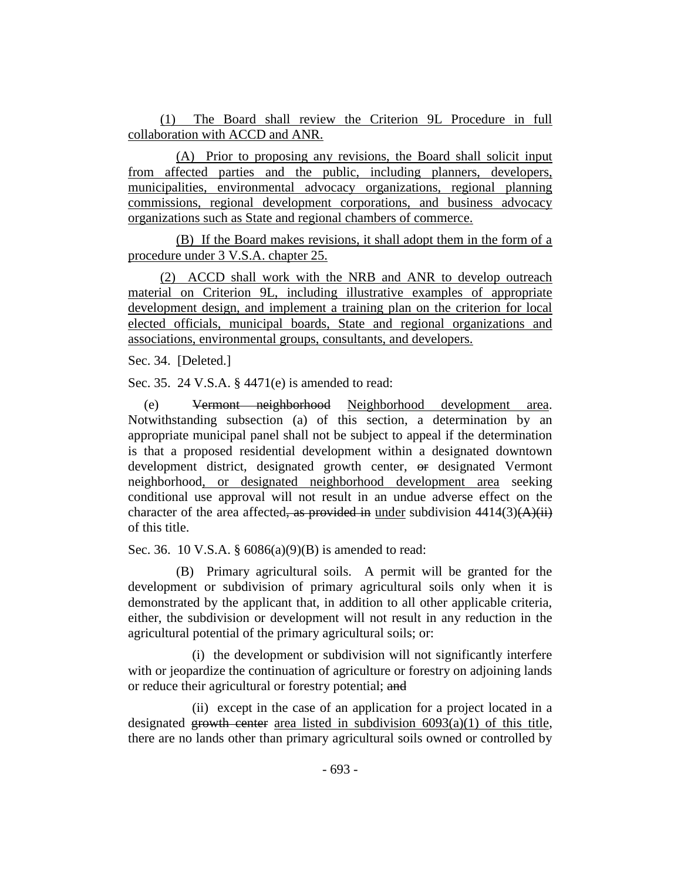(1) The Board shall review the Criterion 9L Procedure in full collaboration with ACCD and ANR.

(A) Prior to proposing any revisions, the Board shall solicit input from affected parties and the public, including planners, developers, municipalities, environmental advocacy organizations, regional planning commissions, regional development corporations, and business advocacy organizations such as State and regional chambers of commerce.

(B) If the Board makes revisions, it shall adopt them in the form of a procedure under 3 V.S.A. chapter 25.

(2) ACCD shall work with the NRB and ANR to develop outreach material on Criterion 9L, including illustrative examples of appropriate development design, and implement a training plan on the criterion for local elected officials, municipal boards, State and regional organizations and associations, environmental groups, consultants, and developers.

Sec. 34. [Deleted.]

Sec. 35. 24 V.S.A. § 4471(e) is amended to read:

(e) Vermont neighborhood Neighborhood development area. Notwithstanding subsection (a) of this section, a determination by an appropriate municipal panel shall not be subject to appeal if the determination is that a proposed residential development within a designated downtown development district, designated growth center, or designated Vermont neighborhood, or designated neighborhood development area seeking conditional use approval will not result in an undue adverse effect on the character of the area affected, as provided in under subdivision  $4414(3)(A)(ii)$ of this title.

Sec. 36. 10 V.S.A. § 6086(a)(9)(B) is amended to read:

(B) Primary agricultural soils. A permit will be granted for the development or subdivision of primary agricultural soils only when it is demonstrated by the applicant that, in addition to all other applicable criteria, either, the subdivision or development will not result in any reduction in the agricultural potential of the primary agricultural soils; or:

(i) the development or subdivision will not significantly interfere with or jeopardize the continuation of agriculture or forestry on adjoining lands or reduce their agricultural or forestry potential; and

(ii) except in the case of an application for a project located in a designated growth center area listed in subdivision  $6093(a)(1)$  of this title, there are no lands other than primary agricultural soils owned or controlled by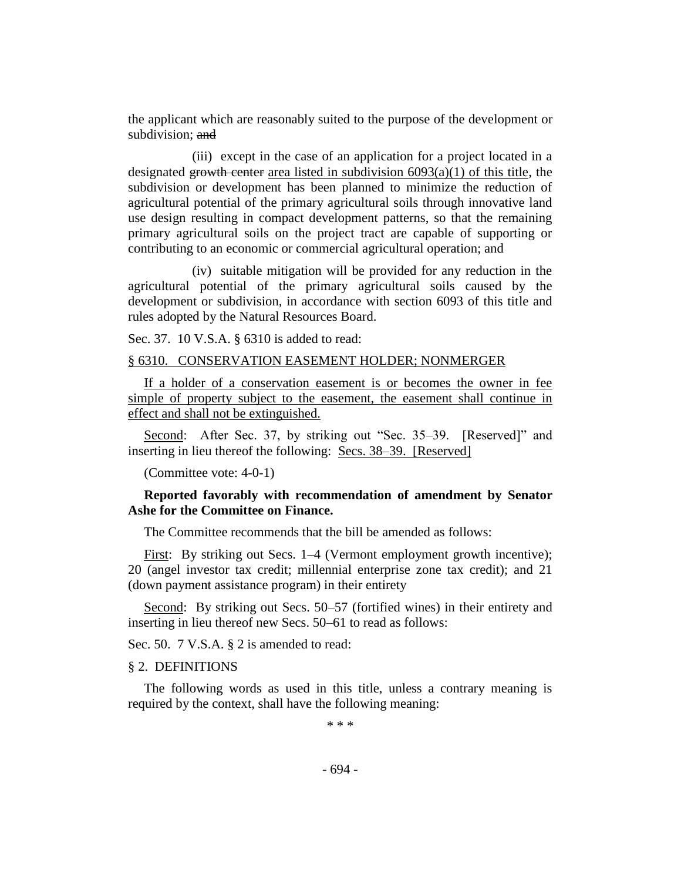the applicant which are reasonably suited to the purpose of the development or subdivision: and

(iii) except in the case of an application for a project located in a designated growth center area listed in subdivision  $6093(a)(1)$  of this title, the subdivision or development has been planned to minimize the reduction of agricultural potential of the primary agricultural soils through innovative land use design resulting in compact development patterns, so that the remaining primary agricultural soils on the project tract are capable of supporting or contributing to an economic or commercial agricultural operation; and

(iv) suitable mitigation will be provided for any reduction in the agricultural potential of the primary agricultural soils caused by the development or subdivision, in accordance with section 6093 of this title and rules adopted by the Natural Resources Board.

Sec. 37. 10 V.S.A. § 6310 is added to read:

#### § 6310. CONSERVATION EASEMENT HOLDER; NONMERGER

If a holder of a conservation easement is or becomes the owner in fee simple of property subject to the easement, the easement shall continue in effect and shall not be extinguished.

Second: After Sec. 37, by striking out "Sec. 35–39. [Reserved]" and inserting in lieu thereof the following: Secs. 38–39. [Reserved]

(Committee vote: 4-0-1)

## **Reported favorably with recommendation of amendment by Senator Ashe for the Committee on Finance.**

The Committee recommends that the bill be amended as follows:

First: By striking out Secs. 1–4 (Vermont employment growth incentive); 20 (angel investor tax credit; millennial enterprise zone tax credit); and 21 (down payment assistance program) in their entirety

Second: By striking out Secs. 50–57 (fortified wines) in their entirety and inserting in lieu thereof new Secs. 50–61 to read as follows:

Sec. 50. 7 V.S.A. § 2 is amended to read:

### § 2. DEFINITIONS

The following words as used in this title, unless a contrary meaning is required by the context, shall have the following meaning:

\* \* \*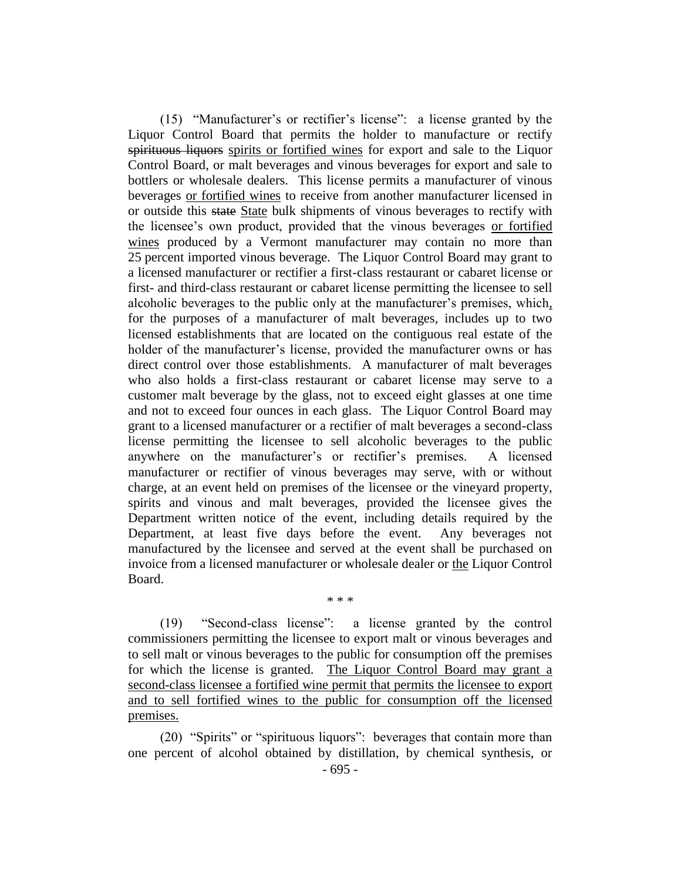(15) "Manufacturer's or rectifier's license": a license granted by the Liquor Control Board that permits the holder to manufacture or rectify spirituous liquors spirits or fortified wines for export and sale to the Liquor Control Board, or malt beverages and vinous beverages for export and sale to bottlers or wholesale dealers. This license permits a manufacturer of vinous beverages or fortified wines to receive from another manufacturer licensed in or outside this state State bulk shipments of vinous beverages to rectify with the licensee's own product, provided that the vinous beverages or fortified wines produced by a Vermont manufacturer may contain no more than 25 percent imported vinous beverage. The Liquor Control Board may grant to a licensed manufacturer or rectifier a first-class restaurant or cabaret license or first- and third-class restaurant or cabaret license permitting the licensee to sell alcoholic beverages to the public only at the manufacturer's premises, which, for the purposes of a manufacturer of malt beverages, includes up to two licensed establishments that are located on the contiguous real estate of the holder of the manufacturer's license, provided the manufacturer owns or has direct control over those establishments. A manufacturer of malt beverages who also holds a first-class restaurant or cabaret license may serve to a customer malt beverage by the glass, not to exceed eight glasses at one time and not to exceed four ounces in each glass. The Liquor Control Board may grant to a licensed manufacturer or a rectifier of malt beverages a second-class license permitting the licensee to sell alcoholic beverages to the public anywhere on the manufacturer's or rectifier's premises. A licensed manufacturer or rectifier of vinous beverages may serve, with or without charge, at an event held on premises of the licensee or the vineyard property, spirits and vinous and malt beverages, provided the licensee gives the Department written notice of the event, including details required by the Department, at least five days before the event. Any beverages not manufactured by the licensee and served at the event shall be purchased on invoice from a licensed manufacturer or wholesale dealer or the Liquor Control Board.

(19) "Second-class license": a license granted by the control commissioners permitting the licensee to export malt or vinous beverages and to sell malt or vinous beverages to the public for consumption off the premises for which the license is granted. The Liquor Control Board may grant a second-class licensee a fortified wine permit that permits the licensee to export and to sell fortified wines to the public for consumption off the licensed premises.

\* \* \*

(20) "Spirits" or "spirituous liquors": beverages that contain more than one percent of alcohol obtained by distillation, by chemical synthesis, or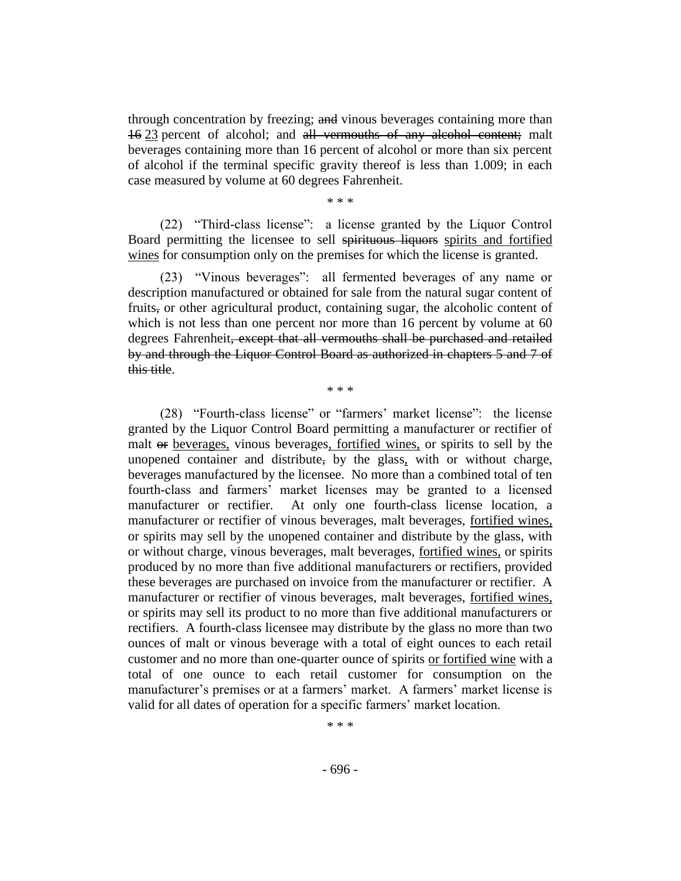through concentration by freezing; and vinous beverages containing more than 16 23 percent of alcohol; and all vermouths of any alcohol content; malt beverages containing more than 16 percent of alcohol or more than six percent of alcohol if the terminal specific gravity thereof is less than 1.009; in each case measured by volume at 60 degrees Fahrenheit.

\* \* \*

(22) "Third-class license": a license granted by the Liquor Control Board permitting the licensee to sell spirituous liquors spirits and fortified wines for consumption only on the premises for which the license is granted.

(23) "Vinous beverages": all fermented beverages of any name or description manufactured or obtained for sale from the natural sugar content of fruits, or other agricultural product, containing sugar, the alcoholic content of which is not less than one percent nor more than 16 percent by volume at 60 degrees Fahrenheit, except that all vermouths shall be purchased and retailed by and through the Liquor Control Board as authorized in chapters 5 and 7 of this title.

\* \* \*

(28) "Fourth-class license" or "farmers' market license": the license granted by the Liquor Control Board permitting a manufacturer or rectifier of malt or beverages, vinous beverages, fortified wines, or spirits to sell by the unopened container and distribute, by the glass, with or without charge, beverages manufactured by the licensee. No more than a combined total of ten fourth-class and farmers' market licenses may be granted to a licensed manufacturer or rectifier. At only one fourth-class license location, a manufacturer or rectifier of vinous beverages, malt beverages, fortified wines, or spirits may sell by the unopened container and distribute by the glass, with or without charge, vinous beverages, malt beverages, fortified wines, or spirits produced by no more than five additional manufacturers or rectifiers, provided these beverages are purchased on invoice from the manufacturer or rectifier. A manufacturer or rectifier of vinous beverages, malt beverages, fortified wines, or spirits may sell its product to no more than five additional manufacturers or rectifiers. A fourth-class licensee may distribute by the glass no more than two ounces of malt or vinous beverage with a total of eight ounces to each retail customer and no more than one-quarter ounce of spirits or fortified wine with a total of one ounce to each retail customer for consumption on the manufacturer's premises or at a farmers' market. A farmers' market license is valid for all dates of operation for a specific farmers' market location.

\* \* \*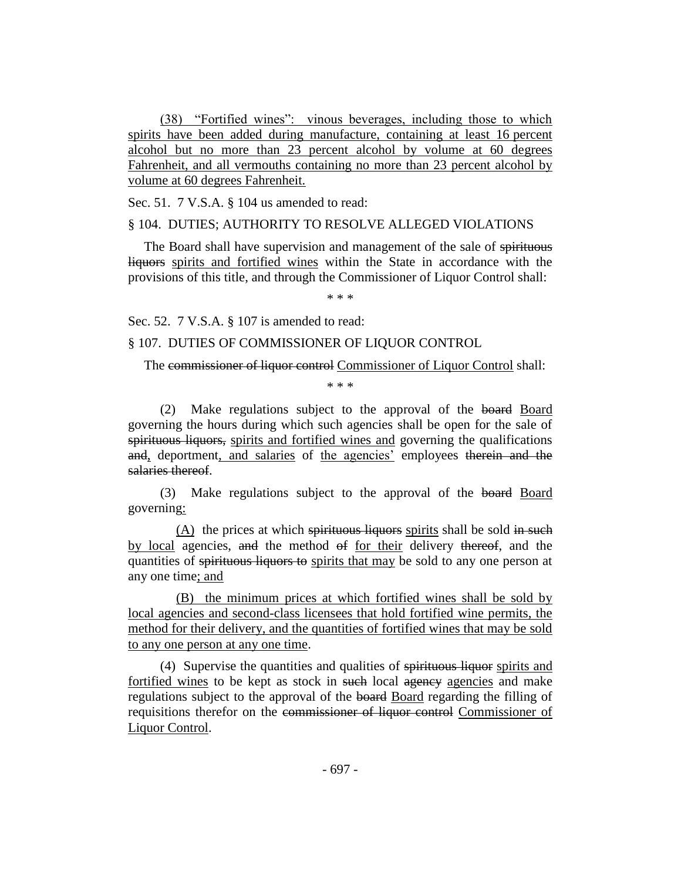(38) "Fortified wines": vinous beverages, including those to which spirits have been added during manufacture, containing at least 16 percent alcohol but no more than 23 percent alcohol by volume at 60 degrees Fahrenheit, and all vermouths containing no more than 23 percent alcohol by volume at 60 degrees Fahrenheit.

Sec. 51. 7 V.S.A. § 104 us amended to read:

#### § 104. DUTIES; AUTHORITY TO RESOLVE ALLEGED VIOLATIONS

The Board shall have supervision and management of the sale of spirituous liquors spirits and fortified wines within the State in accordance with the provisions of this title, and through the Commissioner of Liquor Control shall:

\* \* \*

Sec. 52. 7 V.S.A. § 107 is amended to read:

§ 107. DUTIES OF COMMISSIONER OF LIQUOR CONTROL

The commissioner of liquor control Commissioner of Liquor Control shall:

\* \* \*

(2) Make regulations subject to the approval of the board Board governing the hours during which such agencies shall be open for the sale of spirituous liquors, spirits and fortified wines and governing the qualifications and, deportment, and salaries of the agencies' employees therein and the salaries thereof.

(3) Make regulations subject to the approval of the board Board governing:

 $(A)$  the prices at which spirituous liquors spirits shall be sold in such by local agencies, and the method of for their delivery thereof, and the quantities of spirituous liquors to spirits that may be sold to any one person at any one time; and

(B) the minimum prices at which fortified wines shall be sold by local agencies and second-class licensees that hold fortified wine permits, the method for their delivery, and the quantities of fortified wines that may be sold to any one person at any one time.

(4) Supervise the quantities and qualities of spirituous liquor spirits and fortified wines to be kept as stock in such local agency agencies and make regulations subject to the approval of the board Board regarding the filling of requisitions therefor on the commissioner of liquor control Commissioner of Liquor Control.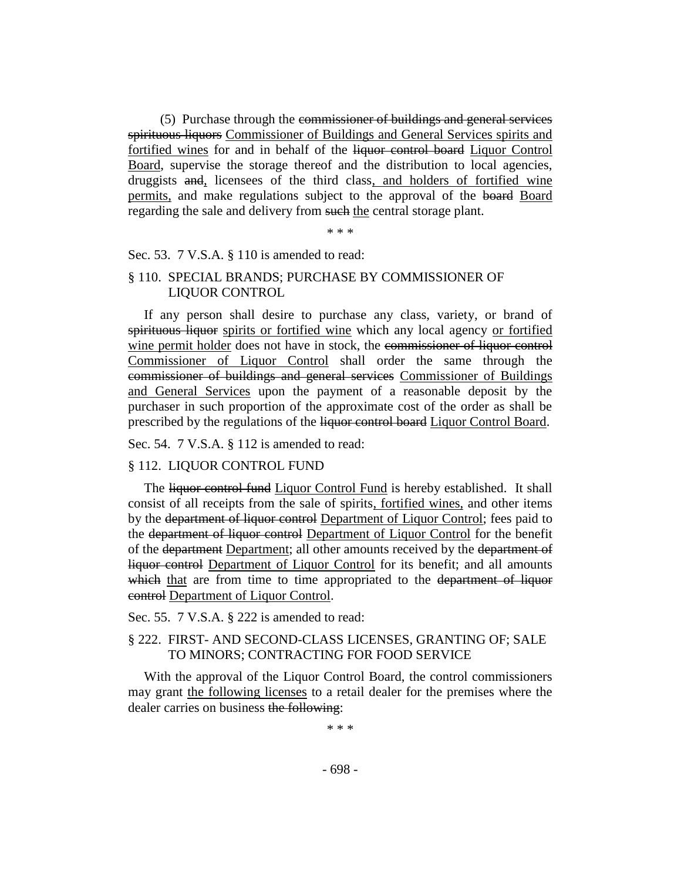(5) Purchase through the commissioner of buildings and general services spirituous liquors Commissioner of Buildings and General Services spirits and fortified wines for and in behalf of the liquor control board Liquor Control Board, supervise the storage thereof and the distribution to local agencies, druggists and, licensees of the third class, and holders of fortified wine permits, and make regulations subject to the approval of the board Board regarding the sale and delivery from such the central storage plant.

\* \* \*

#### Sec. 53. 7 V.S.A. § 110 is amended to read:

## § 110. SPECIAL BRANDS; PURCHASE BY COMMISSIONER OF LIQUOR CONTROL

If any person shall desire to purchase any class, variety, or brand of spirituous liquor spirits or fortified wine which any local agency or fortified wine permit holder does not have in stock, the commissioner of liquor control Commissioner of Liquor Control shall order the same through the commissioner of buildings and general services Commissioner of Buildings and General Services upon the payment of a reasonable deposit by the purchaser in such proportion of the approximate cost of the order as shall be prescribed by the regulations of the liquor control board Liquor Control Board.

Sec. 54. 7 V.S.A. § 112 is amended to read:

#### § 112. LIQUOR CONTROL FUND

The liquor control fund Liquor Control Fund is hereby established. It shall consist of all receipts from the sale of spirits, fortified wines, and other items by the department of liquor control Department of Liquor Control; fees paid to the department of liquor control Department of Liquor Control for the benefit of the department Department; all other amounts received by the department of liquor control Department of Liquor Control for its benefit; and all amounts which that are from time to time appropriated to the department of liquor control Department of Liquor Control.

Sec. 55. 7 V.S.A. § 222 is amended to read:

## § 222. FIRST- AND SECOND-CLASS LICENSES, GRANTING OF; SALE TO MINORS; CONTRACTING FOR FOOD SERVICE

With the approval of the Liquor Control Board, the control commissioners may grant the following licenses to a retail dealer for the premises where the dealer carries on business the following:

\* \* \*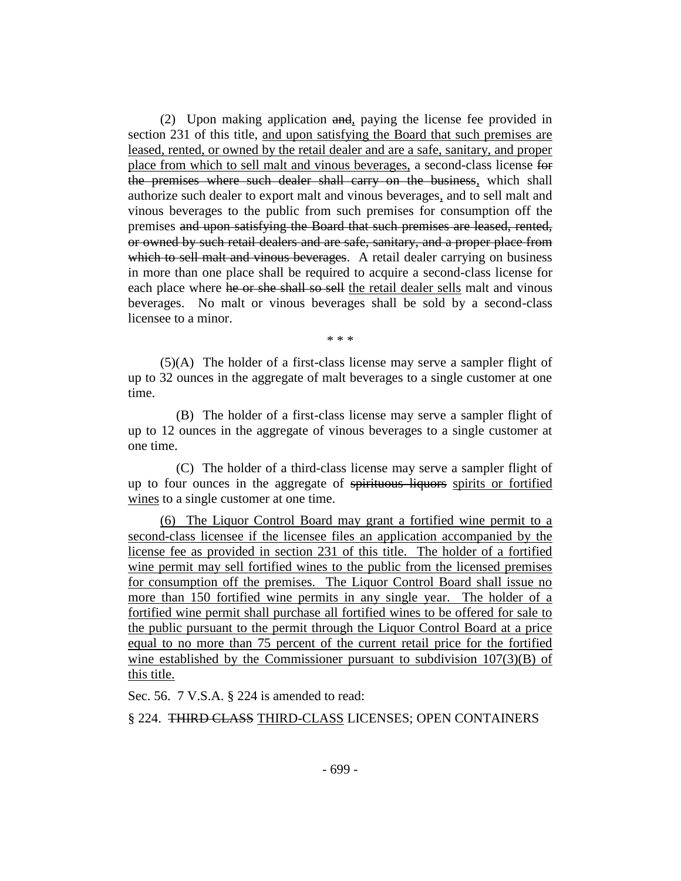(2) Upon making application and, paying the license fee provided in section 231 of this title, and upon satisfying the Board that such premises are leased, rented, or owned by the retail dealer and are a safe, sanitary, and proper place from which to sell malt and vinous beverages, a second-class license for the premises where such dealer shall carry on the business, which shall authorize such dealer to export malt and vinous beverages, and to sell malt and vinous beverages to the public from such premises for consumption off the premises and upon satisfying the Board that such premises are leased, rented, or owned by such retail dealers and are safe, sanitary, and a proper place from which to sell malt and vinous beverages. A retail dealer carrying on business in more than one place shall be required to acquire a second-class license for each place where he or she shall so sell the retail dealer sells malt and vinous beverages. No malt or vinous beverages shall be sold by a second-class licensee to a minor.

\* \* \*

(5)(A) The holder of a first-class license may serve a sampler flight of up to 32 ounces in the aggregate of malt beverages to a single customer at one time.

(B) The holder of a first-class license may serve a sampler flight of up to 12 ounces in the aggregate of vinous beverages to a single customer at one time.

(C) The holder of a third-class license may serve a sampler flight of up to four ounces in the aggregate of spirituous liquors spirits or fortified wines to a single customer at one time.

(6) The Liquor Control Board may grant a fortified wine permit to a second-class licensee if the licensee files an application accompanied by the license fee as provided in section 231 of this title. The holder of a fortified wine permit may sell fortified wines to the public from the licensed premises for consumption off the premises. The Liquor Control Board shall issue no more than 150 fortified wine permits in any single year. The holder of a fortified wine permit shall purchase all fortified wines to be offered for sale to the public pursuant to the permit through the Liquor Control Board at a price equal to no more than 75 percent of the current retail price for the fortified wine established by the Commissioner pursuant to subdivision  $107(3)(B)$  of this title.

Sec. 56. 7 V.S.A. § 224 is amended to read:

§ 224. THIRD CLASS THIRD-CLASS LICENSES; OPEN CONTAINERS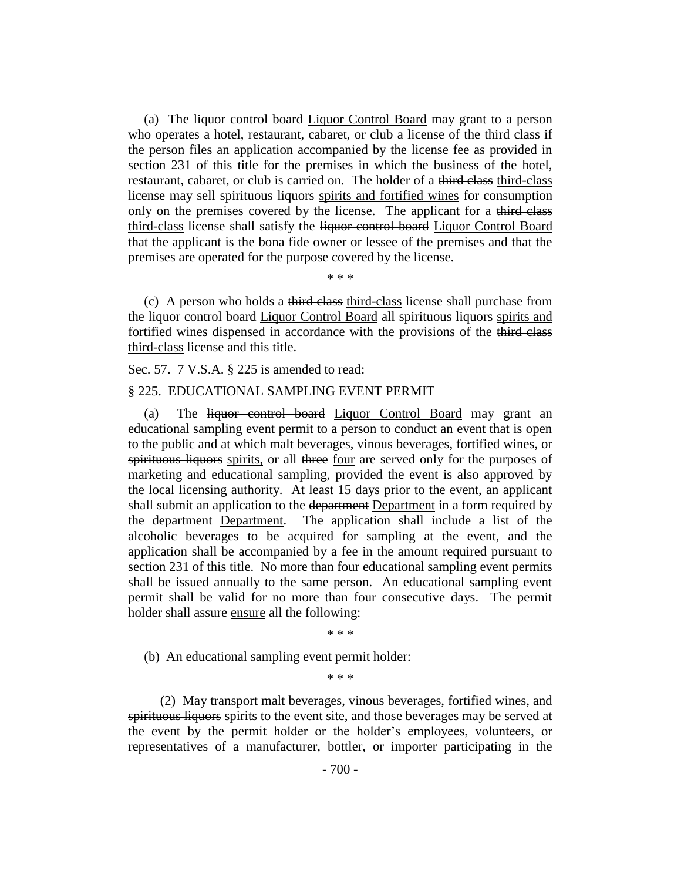(a) The liquor control board Liquor Control Board may grant to a person who operates a hotel, restaurant, cabaret, or club a license of the third class if the person files an application accompanied by the license fee as provided in section 231 of this title for the premises in which the business of the hotel, restaurant, cabaret, or club is carried on. The holder of a third class third-class license may sell spirituous liquors spirits and fortified wines for consumption only on the premises covered by the license. The applicant for a third class third-class license shall satisfy the liquor control board Liquor Control Board that the applicant is the bona fide owner or lessee of the premises and that the premises are operated for the purpose covered by the license.

\* \* \*

(c) A person who holds a third class third-class license shall purchase from the liquor control board Liquor Control Board all spirituous liquors spirits and fortified wines dispensed in accordance with the provisions of the third class third-class license and this title.

Sec. 57. 7 V.S.A. § 225 is amended to read:

#### § 225. EDUCATIONAL SAMPLING EVENT PERMIT

(a) The liquor control board Liquor Control Board may grant an educational sampling event permit to a person to conduct an event that is open to the public and at which malt beverages, vinous beverages, fortified wines, or spirituous liquors spirits, or all three four are served only for the purposes of marketing and educational sampling, provided the event is also approved by the local licensing authority. At least 15 days prior to the event, an applicant shall submit an application to the department Department in a form required by the department Department. The application shall include a list of the alcoholic beverages to be acquired for sampling at the event, and the application shall be accompanied by a fee in the amount required pursuant to section 231 of this title. No more than four educational sampling event permits shall be issued annually to the same person. An educational sampling event permit shall be valid for no more than four consecutive days. The permit holder shall assure ensure all the following:

\* \* \*

(b) An educational sampling event permit holder:

\* \* \*

(2) May transport malt beverages, vinous beverages, fortified wines, and spirituous liquors spirits to the event site, and those beverages may be served at the event by the permit holder or the holder's employees, volunteers, or representatives of a manufacturer, bottler, or importer participating in the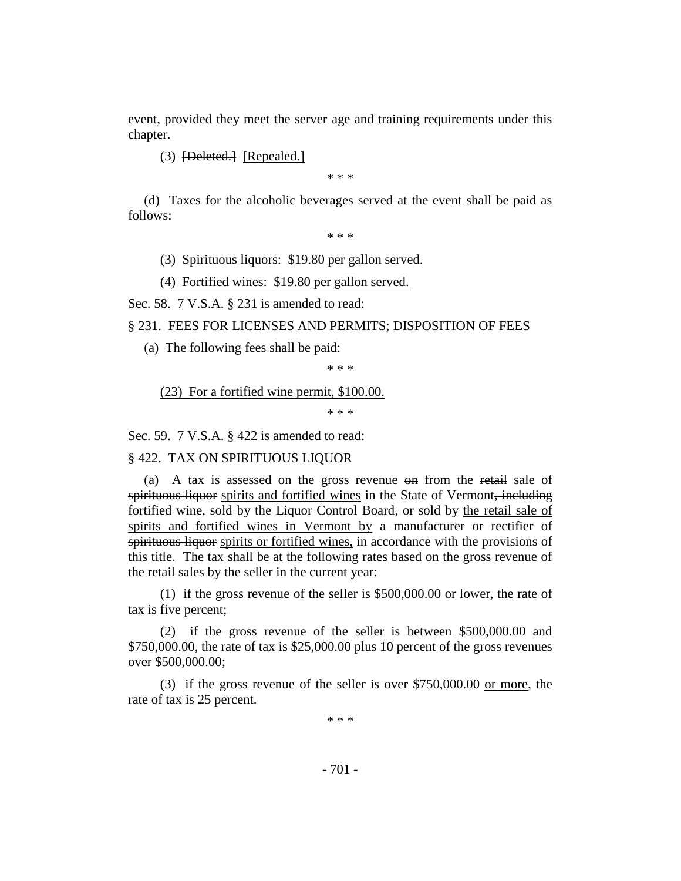event, provided they meet the server age and training requirements under this chapter.

(3) [Deleted.] [Repealed.]

\* \* \*

(d) Taxes for the alcoholic beverages served at the event shall be paid as follows:

\* \* \*

(3) Spirituous liquors: \$19.80 per gallon served.

(4) Fortified wines: \$19.80 per gallon served.

Sec. 58. 7 V.S.A. § 231 is amended to read:

§ 231. FEES FOR LICENSES AND PERMITS; DISPOSITION OF FEES

(a) The following fees shall be paid:

\* \* \*

(23) For a fortified wine permit, \$100.00.

\* \* \*

Sec. 59. 7 V.S.A. § 422 is amended to read:

§ 422. TAX ON SPIRITUOUS LIQUOR

(a) A tax is assessed on the gross revenue on from the retail sale of spirituous liquor spirits and fortified wines in the State of Vermont, including fortified wine, sold by the Liquor Control Board, or sold by the retail sale of spirits and fortified wines in Vermont by a manufacturer or rectifier of spirituous liquor spirits or fortified wines, in accordance with the provisions of this title. The tax shall be at the following rates based on the gross revenue of the retail sales by the seller in the current year:

(1) if the gross revenue of the seller is \$500,000.00 or lower, the rate of tax is five percent;

(2) if the gross revenue of the seller is between \$500,000.00 and \$750,000.00, the rate of tax is \$25,000.00 plus 10 percent of the gross revenues over \$500,000.00;

(3) if the gross revenue of the seller is  $\alpha$  over \$750,000.00 or more, the rate of tax is 25 percent.

\* \* \*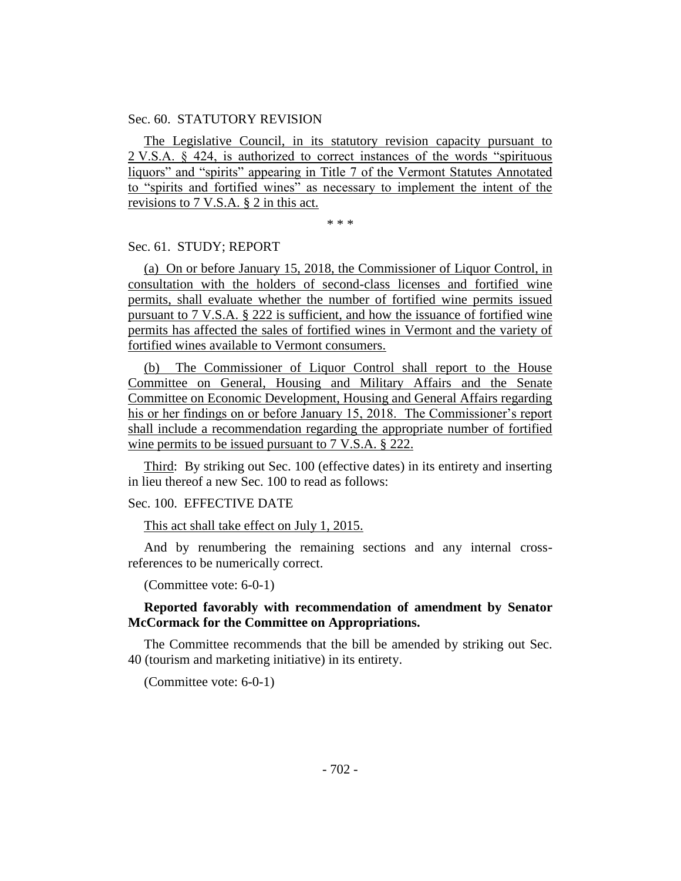#### Sec. 60. STATUTORY REVISION

The Legislative Council, in its statutory revision capacity pursuant to 2 V.S.A. § 424, is authorized to correct instances of the words "spirituous liquors" and "spirits" appearing in Title 7 of the Vermont Statutes Annotated to "spirits and fortified wines" as necessary to implement the intent of the revisions to 7 V.S.A. § 2 in this act.

\* \* \*

#### Sec. 61. STUDY; REPORT

(a) On or before January 15, 2018, the Commissioner of Liquor Control, in consultation with the holders of second-class licenses and fortified wine permits, shall evaluate whether the number of fortified wine permits issued pursuant to 7 V.S.A. § 222 is sufficient, and how the issuance of fortified wine permits has affected the sales of fortified wines in Vermont and the variety of fortified wines available to Vermont consumers.

(b) The Commissioner of Liquor Control shall report to the House Committee on General, Housing and Military Affairs and the Senate Committee on Economic Development, Housing and General Affairs regarding his or her findings on or before January 15, 2018. The Commissioner's report shall include a recommendation regarding the appropriate number of fortified wine permits to be issued pursuant to 7 V.S.A. § 222.

Third: By striking out Sec. 100 (effective dates) in its entirety and inserting in lieu thereof a new Sec. 100 to read as follows:

## Sec. 100. EFFECTIVE DATE

This act shall take effect on July 1, 2015.

And by renumbering the remaining sections and any internal crossreferences to be numerically correct.

(Committee vote: 6-0-1)

## **Reported favorably with recommendation of amendment by Senator McCormack for the Committee on Appropriations.**

The Committee recommends that the bill be amended by striking out Sec. 40 (tourism and marketing initiative) in its entirety.

(Committee vote: 6-0-1)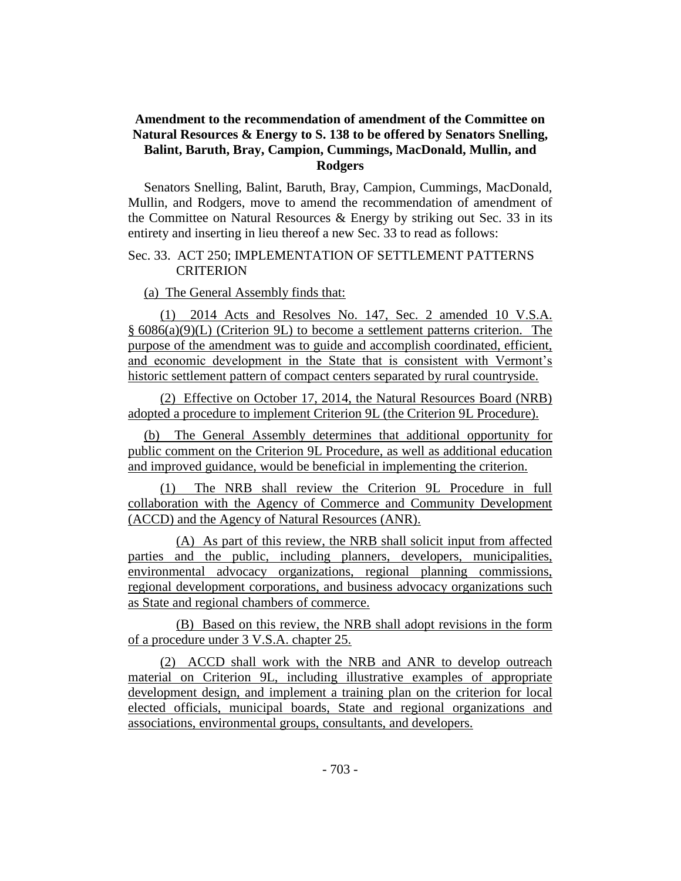# **Amendment to the recommendation of amendment of the Committee on Natural Resources & Energy to S. 138 to be offered by Senators Snelling, Balint, Baruth, Bray, Campion, Cummings, MacDonald, Mullin, and Rodgers**

Senators Snelling, Balint, Baruth, Bray, Campion, Cummings, MacDonald, Mullin, and Rodgers, move to amend the recommendation of amendment of the Committee on Natural Resources & Energy by striking out Sec. 33 in its entirety and inserting in lieu thereof a new Sec. 33 to read as follows:

## Sec. 33. ACT 250; IMPLEMENTATION OF SETTLEMENT PATTERNS **CRITERION**

(a) The General Assembly finds that:

(1) 2014 Acts and Resolves No. 147, Sec. 2 amended 10 V.S.A. § 6086(a)(9)(L) (Criterion 9L) to become a settlement patterns criterion. The purpose of the amendment was to guide and accomplish coordinated, efficient, and economic development in the State that is consistent with Vermont's historic settlement pattern of compact centers separated by rural countryside.

(2) Effective on October 17, 2014, the Natural Resources Board (NRB) adopted a procedure to implement Criterion 9L (the Criterion 9L Procedure).

(b) The General Assembly determines that additional opportunity for public comment on the Criterion 9L Procedure, as well as additional education and improved guidance, would be beneficial in implementing the criterion.

(1) The NRB shall review the Criterion 9L Procedure in full collaboration with the Agency of Commerce and Community Development (ACCD) and the Agency of Natural Resources (ANR).

(A) As part of this review, the NRB shall solicit input from affected parties and the public, including planners, developers, municipalities, environmental advocacy organizations, regional planning commissions, regional development corporations, and business advocacy organizations such as State and regional chambers of commerce.

(B) Based on this review, the NRB shall adopt revisions in the form of a procedure under 3 V.S.A. chapter 25.

(2) ACCD shall work with the NRB and ANR to develop outreach material on Criterion 9L, including illustrative examples of appropriate development design, and implement a training plan on the criterion for local elected officials, municipal boards, State and regional organizations and associations, environmental groups, consultants, and developers.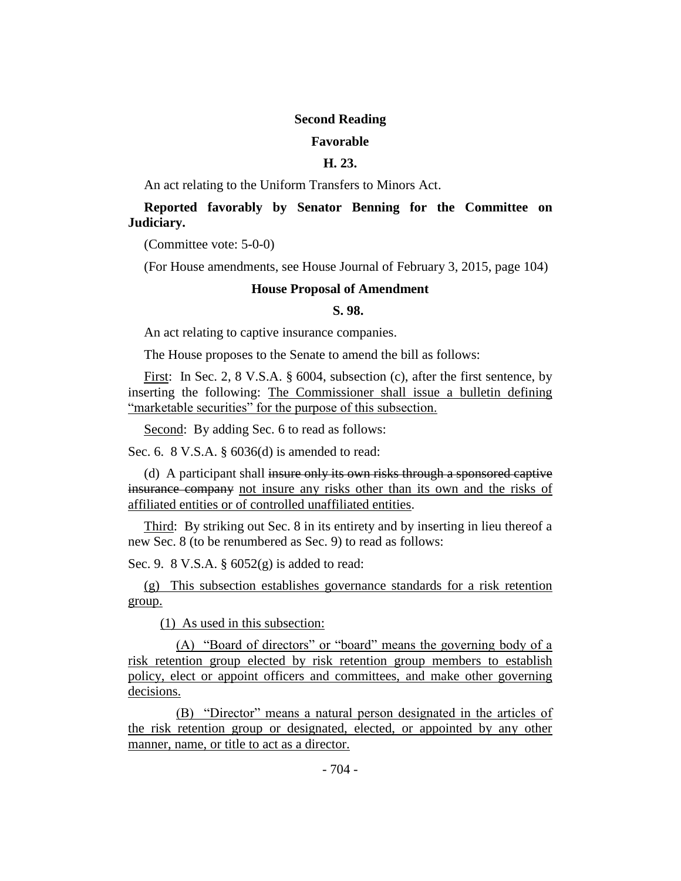#### **Second Reading**

#### **Favorable**

## **H. 23.**

An act relating to the Uniform Transfers to Minors Act.

## **Reported favorably by Senator Benning for the Committee on Judiciary.**

(Committee vote: 5-0-0)

(For House amendments, see House Journal of February 3, 2015, page 104)

#### **House Proposal of Amendment**

#### **S. 98.**

An act relating to captive insurance companies.

The House proposes to the Senate to amend the bill as follows:

First: In Sec. 2, 8 V.S.A. § 6004, subsection (c), after the first sentence, by inserting the following: The Commissioner shall issue a bulletin defining "marketable securities" for the purpose of this subsection.

Second: By adding Sec. 6 to read as follows:

Sec. 6. 8 V.S.A. § 6036(d) is amended to read:

(d) A participant shall insure only its own risks through a sponsored captive insurance company not insure any risks other than its own and the risks of affiliated entities or of controlled unaffiliated entities.

Third: By striking out Sec. 8 in its entirety and by inserting in lieu thereof a new Sec. 8 (to be renumbered as Sec. 9) to read as follows:

Sec. 9. 8 V.S.A. § 6052(g) is added to read:

(g) This subsection establishes governance standards for a risk retention group.

(1) As used in this subsection:

(A) "Board of directors" or "board" means the governing body of a risk retention group elected by risk retention group members to establish policy, elect or appoint officers and committees, and make other governing decisions.

(B) "Director" means a natural person designated in the articles of the risk retention group or designated, elected, or appointed by any other manner, name, or title to act as a director.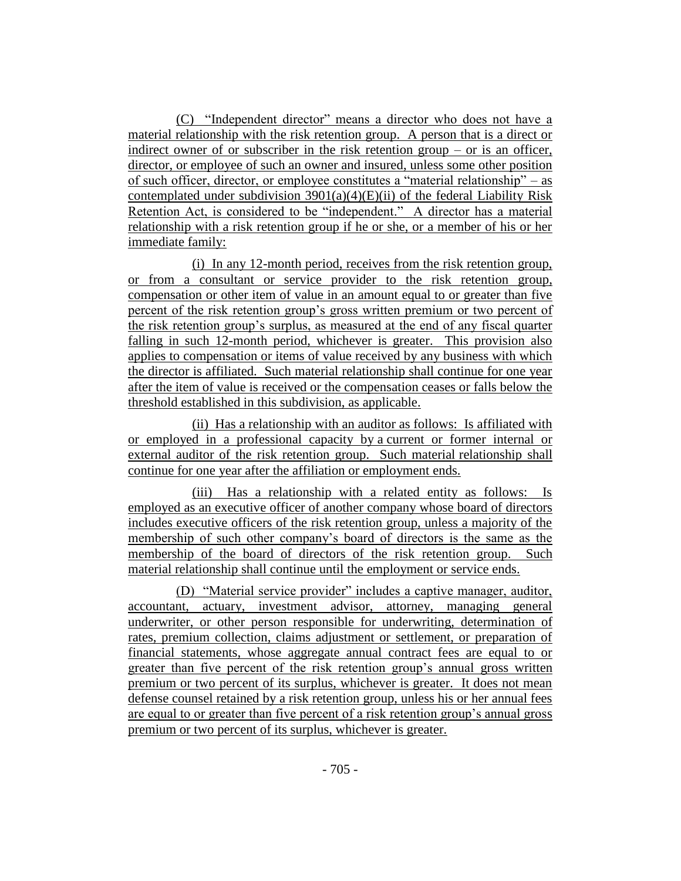(C) "Independent director" means a director who does not have a material relationship with the risk retention group. A person that is a direct or indirect owner of or subscriber in the risk retention group – or is an officer, director, or employee of such an owner and insured, unless some other position of such officer, director, or employee constitutes a "material relationship" – as contemplated under subdivision  $3901(a)(4)(E)(ii)$  of the federal Liability Risk Retention Act, is considered to be "independent." A director has a material relationship with a risk retention group if he or she, or a member of his or her immediate family:

(i) In any 12-month period, receives from the risk retention group, or from a consultant or service provider to the risk retention group, compensation or other item of value in an amount equal to or greater than five percent of the risk retention group's gross written premium or two percent of the risk retention group's surplus, as measured at the end of any fiscal quarter falling in such 12-month period, whichever is greater. This provision also applies to compensation or items of value received by any business with which the director is affiliated. Such material relationship shall continue for one year after the item of value is received or the compensation ceases or falls below the threshold established in this subdivision, as applicable.

(ii) Has a relationship with an auditor as follows: Is affiliated with or employed in a professional capacity by a current or former internal or external auditor of the risk retention group. Such material relationship shall continue for one year after the affiliation or employment ends.

(iii) Has a relationship with a related entity as follows: Is employed as an executive officer of another company whose board of directors includes executive officers of the risk retention group, unless a majority of the membership of such other company's board of directors is the same as the membership of the board of directors of the risk retention group. Such material relationship shall continue until the employment or service ends.

(D) "Material service provider" includes a captive manager, auditor, accountant, actuary, investment advisor, attorney, managing general underwriter, or other person responsible for underwriting, determination of rates, premium collection, claims adjustment or settlement, or preparation of financial statements, whose aggregate annual contract fees are equal to or greater than five percent of the risk retention group's annual gross written premium or two percent of its surplus, whichever is greater. It does not mean defense counsel retained by a risk retention group, unless his or her annual fees are equal to or greater than five percent of a risk retention group's annual gross premium or two percent of its surplus, whichever is greater.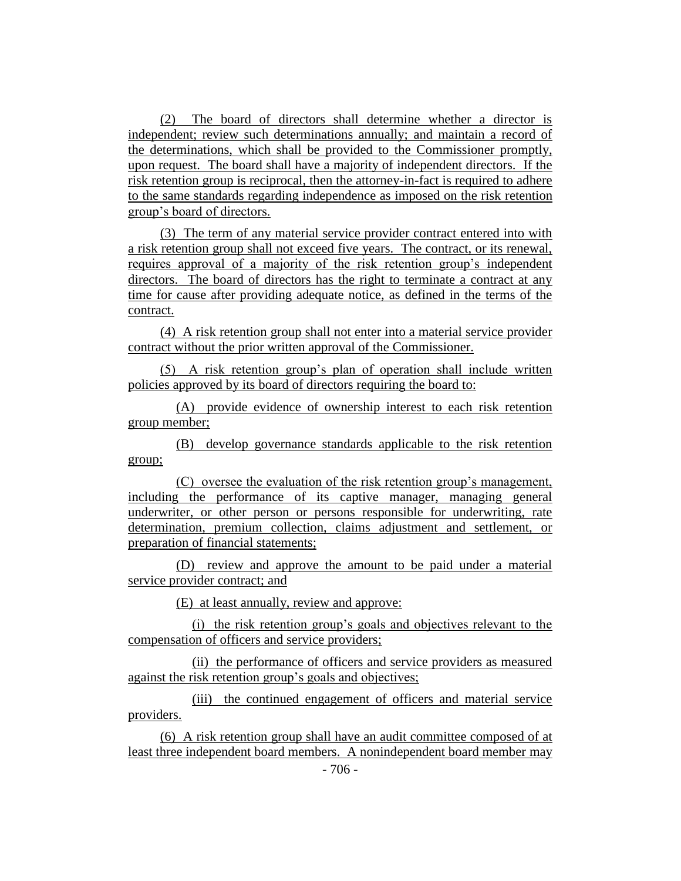(2) The board of directors shall determine whether a director is independent; review such determinations annually; and maintain a record of the determinations, which shall be provided to the Commissioner promptly, upon request. The board shall have a majority of independent directors. If the risk retention group is reciprocal, then the attorney-in-fact is required to adhere to the same standards regarding independence as imposed on the risk retention group's board of directors.

(3) The term of any material service provider contract entered into with a risk retention group shall not exceed five years. The contract, or its renewal, requires approval of a majority of the risk retention group's independent directors. The board of directors has the right to terminate a contract at any time for cause after providing adequate notice, as defined in the terms of the contract.

(4) A risk retention group shall not enter into a material service provider contract without the prior written approval of the Commissioner.

(5) A risk retention group's plan of operation shall include written policies approved by its board of directors requiring the board to:

(A) provide evidence of ownership interest to each risk retention group member;

(B) develop governance standards applicable to the risk retention group;

(C) oversee the evaluation of the risk retention group's management, including the performance of its captive manager, managing general underwriter, or other person or persons responsible for underwriting, rate determination, premium collection, claims adjustment and settlement, or preparation of financial statements;

(D) review and approve the amount to be paid under a material service provider contract; and

(E) at least annually, review and approve:

(i) the risk retention group's goals and objectives relevant to the compensation of officers and service providers;

(ii) the performance of officers and service providers as measured against the risk retention group's goals and objectives;

(iii) the continued engagement of officers and material service providers.

(6) A risk retention group shall have an audit committee composed of at least three independent board members. A nonindependent board member may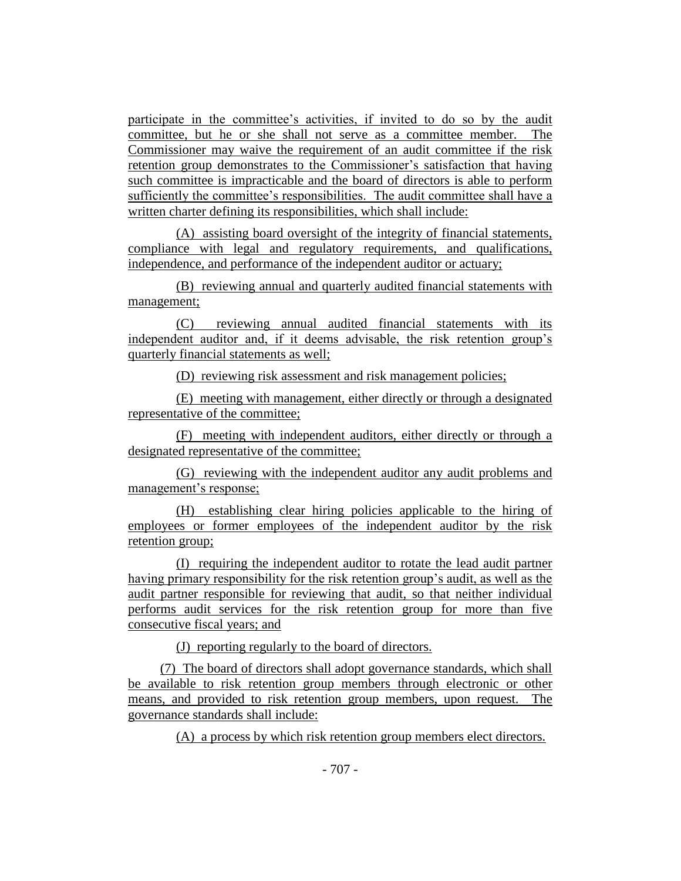participate in the committee's activities, if invited to do so by the audit committee, but he or she shall not serve as a committee member. The Commissioner may waive the requirement of an audit committee if the risk retention group demonstrates to the Commissioner's satisfaction that having such committee is impracticable and the board of directors is able to perform sufficiently the committee's responsibilities. The audit committee shall have a written charter defining its responsibilities, which shall include:

(A) assisting board oversight of the integrity of financial statements, compliance with legal and regulatory requirements, and qualifications, independence, and performance of the independent auditor or actuary;

(B) reviewing annual and quarterly audited financial statements with management;

(C) reviewing annual audited financial statements with its independent auditor and, if it deems advisable, the risk retention group's quarterly financial statements as well;

(D) reviewing risk assessment and risk management policies;

(E) meeting with management, either directly or through a designated representative of the committee;

(F) meeting with independent auditors, either directly or through a designated representative of the committee;

(G) reviewing with the independent auditor any audit problems and management's response;

(H) establishing clear hiring policies applicable to the hiring of employees or former employees of the independent auditor by the risk retention group;

(I) requiring the independent auditor to rotate the lead audit partner having primary responsibility for the risk retention group's audit, as well as the audit partner responsible for reviewing that audit, so that neither individual performs audit services for the risk retention group for more than five consecutive fiscal years; and

(J) reporting regularly to the board of directors.

(7) The board of directors shall adopt governance standards, which shall be available to risk retention group members through electronic or other means, and provided to risk retention group members, upon request. The governance standards shall include:

(A) a process by which risk retention group members elect directors.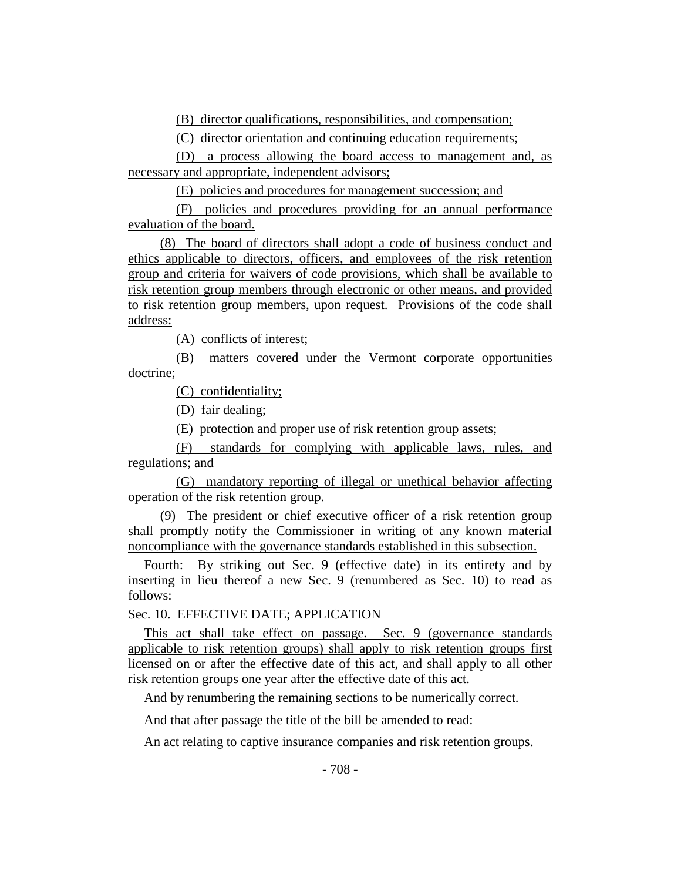(B) director qualifications, responsibilities, and compensation;

(C) director orientation and continuing education requirements;

(D) a process allowing the board access to management and, as necessary and appropriate, independent advisors;

(E) policies and procedures for management succession; and

(F) policies and procedures providing for an annual performance evaluation of the board.

(8) The board of directors shall adopt a code of business conduct and ethics applicable to directors, officers, and employees of the risk retention group and criteria for waivers of code provisions, which shall be available to risk retention group members through electronic or other means, and provided to risk retention group members, upon request. Provisions of the code shall address:

(A) conflicts of interest;

(B) matters covered under the Vermont corporate opportunities doctrine;

(C) confidentiality;

(D) fair dealing;

(E) protection and proper use of risk retention group assets;

(F) standards for complying with applicable laws, rules, and regulations; and

(G) mandatory reporting of illegal or unethical behavior affecting operation of the risk retention group.

(9) The president or chief executive officer of a risk retention group shall promptly notify the Commissioner in writing of any known material noncompliance with the governance standards established in this subsection.

Fourth: By striking out Sec. 9 (effective date) in its entirety and by inserting in lieu thereof a new Sec. 9 (renumbered as Sec. 10) to read as follows:

Sec. 10. EFFECTIVE DATE; APPLICATION

This act shall take effect on passage. Sec. 9 (governance standards applicable to risk retention groups) shall apply to risk retention groups first licensed on or after the effective date of this act, and shall apply to all other risk retention groups one year after the effective date of this act.

And by renumbering the remaining sections to be numerically correct.

And that after passage the title of the bill be amended to read:

An act relating to captive insurance companies and risk retention groups.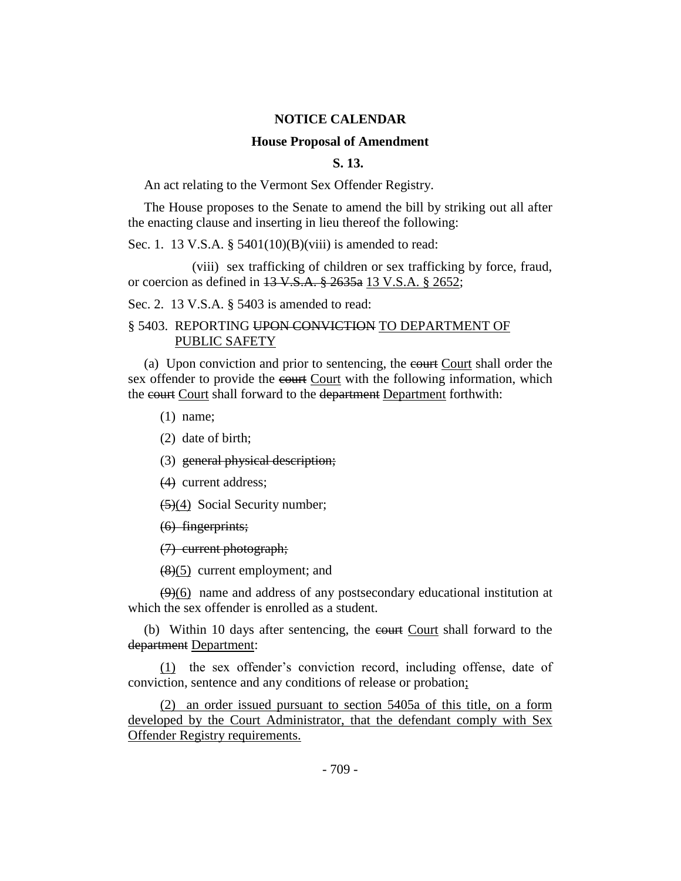#### **NOTICE CALENDAR**

## **House Proposal of Amendment**

## **S. 13.**

An act relating to the Vermont Sex Offender Registry.

The House proposes to the Senate to amend the bill by striking out all after the enacting clause and inserting in lieu thereof the following:

Sec. 1. 13 V.S.A. § 5401(10)(B)(viii) is amended to read:

(viii) sex trafficking of children or sex trafficking by force, fraud, or coercion as defined in 13 V.S.A. § 2635a 13 V.S.A. § 2652;

Sec. 2. 13 V.S.A. § 5403 is amended to read:

## § 5403. REPORTING UPON CONVICTION TO DEPARTMENT OF PUBLIC SAFETY

(a) Upon conviction and prior to sentencing, the court Court shall order the sex offender to provide the court Court with the following information, which the court Court shall forward to the department Department forthwith:

(1) name;

(2) date of birth;

(3) general physical description;

(4) current address;

(5)(4) Social Security number;

(6) fingerprints;

(7) current photograph;

 $(8)(5)$  current employment; and

 $(9)(6)$  name and address of any postsecondary educational institution at which the sex offender is enrolled as a student.

(b) Within 10 days after sentencing, the court Court shall forward to the department Department:

(1) the sex offender's conviction record, including offense, date of conviction, sentence and any conditions of release or probation;

(2) an order issued pursuant to section 5405a of this title, on a form developed by the Court Administrator, that the defendant comply with Sex Offender Registry requirements.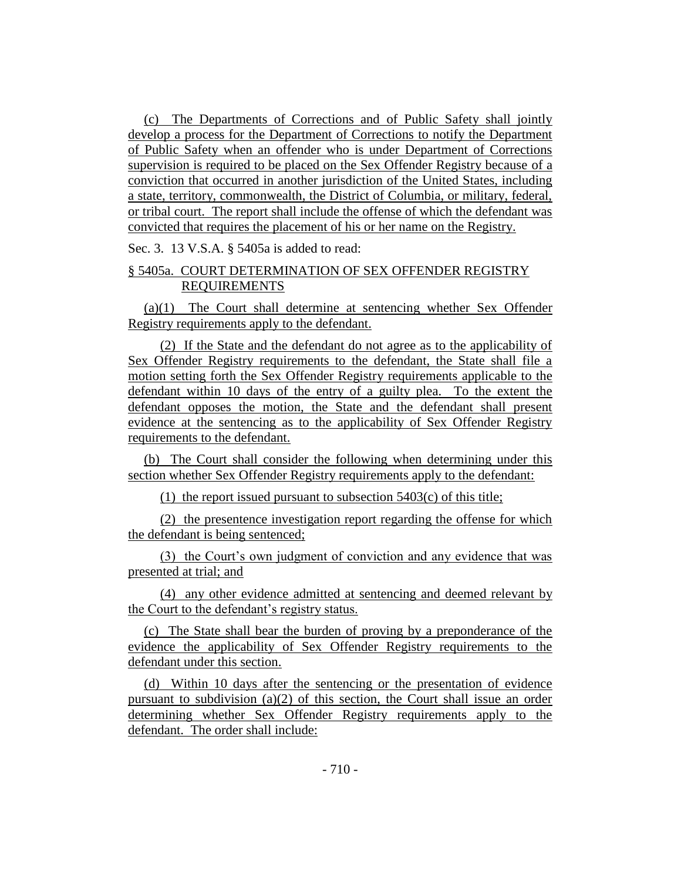(c) The Departments of Corrections and of Public Safety shall jointly develop a process for the Department of Corrections to notify the Department of Public Safety when an offender who is under Department of Corrections supervision is required to be placed on the Sex Offender Registry because of a conviction that occurred in another jurisdiction of the United States, including a state, territory, commonwealth, the District of Columbia, or military, federal, or tribal court. The report shall include the offense of which the defendant was convicted that requires the placement of his or her name on the Registry.

Sec. 3. 13 V.S.A. § 5405a is added to read:

## § 5405a. COURT DETERMINATION OF SEX OFFENDER REGISTRY REQUIREMENTS

(a)(1) The Court shall determine at sentencing whether Sex Offender Registry requirements apply to the defendant.

(2) If the State and the defendant do not agree as to the applicability of Sex Offender Registry requirements to the defendant, the State shall file a motion setting forth the Sex Offender Registry requirements applicable to the defendant within 10 days of the entry of a guilty plea. To the extent the defendant opposes the motion, the State and the defendant shall present evidence at the sentencing as to the applicability of Sex Offender Registry requirements to the defendant.

(b) The Court shall consider the following when determining under this section whether Sex Offender Registry requirements apply to the defendant:

(1) the report issued pursuant to subsection 5403(c) of this title;

(2) the presentence investigation report regarding the offense for which the defendant is being sentenced;

(3) the Court's own judgment of conviction and any evidence that was presented at trial; and

(4) any other evidence admitted at sentencing and deemed relevant by the Court to the defendant's registry status.

(c) The State shall bear the burden of proving by a preponderance of the evidence the applicability of Sex Offender Registry requirements to the defendant under this section.

(d) Within 10 days after the sentencing or the presentation of evidence pursuant to subdivision (a)(2) of this section, the Court shall issue an order determining whether Sex Offender Registry requirements apply to the defendant. The order shall include: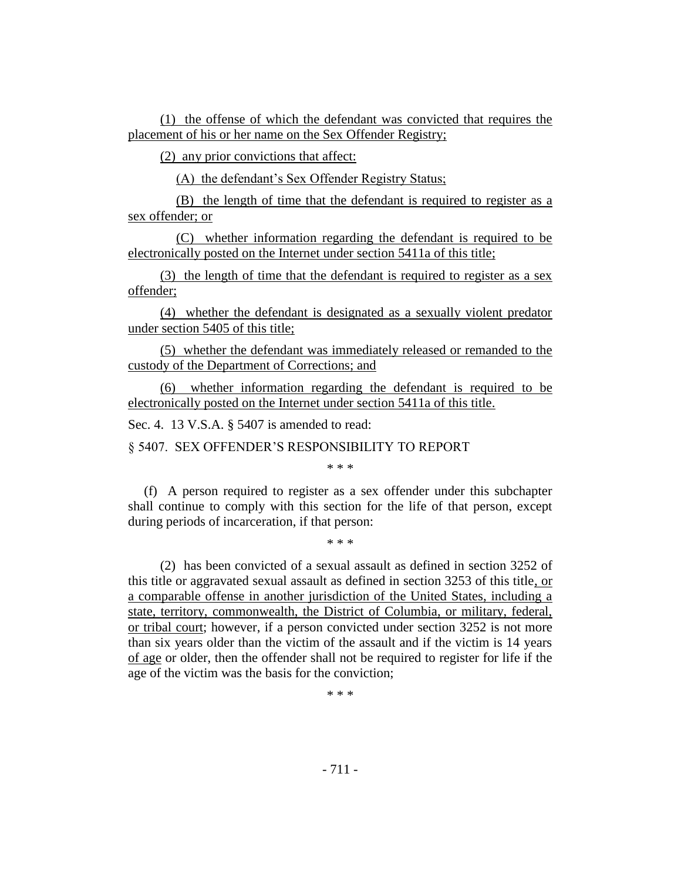(1) the offense of which the defendant was convicted that requires the placement of his or her name on the Sex Offender Registry;

(2) any prior convictions that affect:

(A) the defendant's Sex Offender Registry Status;

(B) the length of time that the defendant is required to register as a sex offender; or

(C) whether information regarding the defendant is required to be electronically posted on the Internet under section 5411a of this title;

(3) the length of time that the defendant is required to register as a sex offender;

(4) whether the defendant is designated as a sexually violent predator under section 5405 of this title;

(5) whether the defendant was immediately released or remanded to the custody of the Department of Corrections; and

(6) whether information regarding the defendant is required to be electronically posted on the Internet under section 5411a of this title.

Sec. 4. 13 V.S.A. § 5407 is amended to read:

§ 5407. SEX OFFENDER'S RESPONSIBILITY TO REPORT

\* \* \*

(f) A person required to register as a sex offender under this subchapter shall continue to comply with this section for the life of that person, except during periods of incarceration, if that person:

\* \* \*

(2) has been convicted of a sexual assault as defined in section 3252 of this title or aggravated sexual assault as defined in section 3253 of this title, or a comparable offense in another jurisdiction of the United States, including a state, territory, commonwealth, the District of Columbia, or military, federal, or tribal court; however, if a person convicted under section 3252 is not more than six years older than the victim of the assault and if the victim is 14 years of age or older, then the offender shall not be required to register for life if the age of the victim was the basis for the conviction;

\* \* \*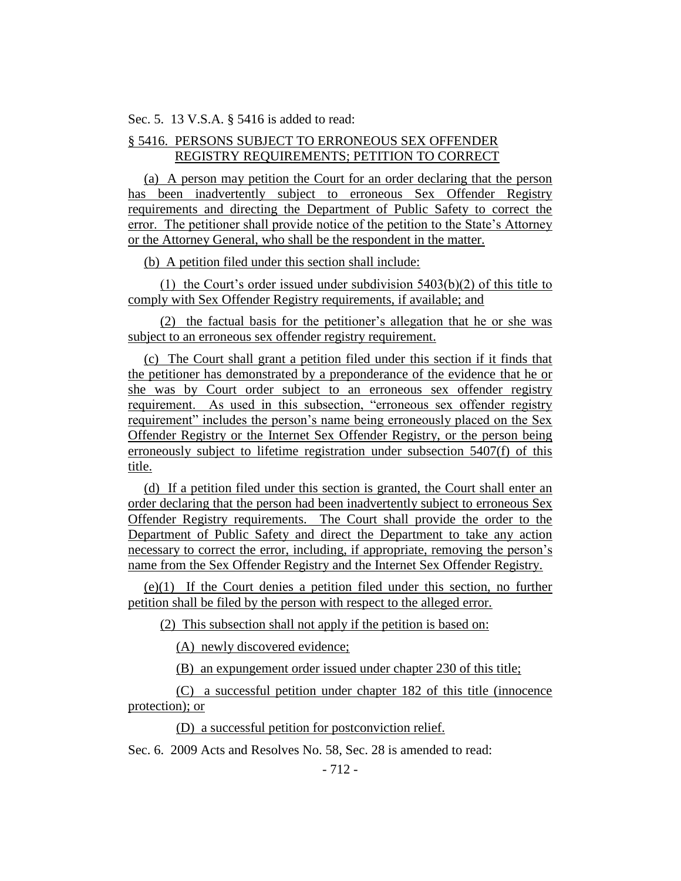Sec. 5. 13 V.S.A. § 5416 is added to read:

## § 5416. PERSONS SUBJECT TO ERRONEOUS SEX OFFENDER REGISTRY REQUIREMENTS; PETITION TO CORRECT

(a) A person may petition the Court for an order declaring that the person has been inadvertently subject to erroneous Sex Offender Registry requirements and directing the Department of Public Safety to correct the error. The petitioner shall provide notice of the petition to the State's Attorney or the Attorney General, who shall be the respondent in the matter.

(b) A petition filed under this section shall include:

(1) the Court's order issued under subdivision 5403(b)(2) of this title to comply with Sex Offender Registry requirements, if available; and

(2) the factual basis for the petitioner's allegation that he or she was subject to an erroneous sex offender registry requirement.

(c) The Court shall grant a petition filed under this section if it finds that the petitioner has demonstrated by a preponderance of the evidence that he or she was by Court order subject to an erroneous sex offender registry requirement. As used in this subsection, "erroneous sex offender registry requirement" includes the person's name being erroneously placed on the Sex Offender Registry or the Internet Sex Offender Registry, or the person being erroneously subject to lifetime registration under subsection 5407(f) of this title.

(d) If a petition filed under this section is granted, the Court shall enter an order declaring that the person had been inadvertently subject to erroneous Sex Offender Registry requirements. The Court shall provide the order to the Department of Public Safety and direct the Department to take any action necessary to correct the error, including, if appropriate, removing the person's name from the Sex Offender Registry and the Internet Sex Offender Registry.

(e)(1) If the Court denies a petition filed under this section, no further petition shall be filed by the person with respect to the alleged error.

(2) This subsection shall not apply if the petition is based on:

(A) newly discovered evidence;

(B) an expungement order issued under chapter 230 of this title;

(C) a successful petition under chapter 182 of this title (innocence protection); or

(D) a successful petition for postconviction relief.

Sec. 6. 2009 Acts and Resolves No. 58, Sec. 28 is amended to read: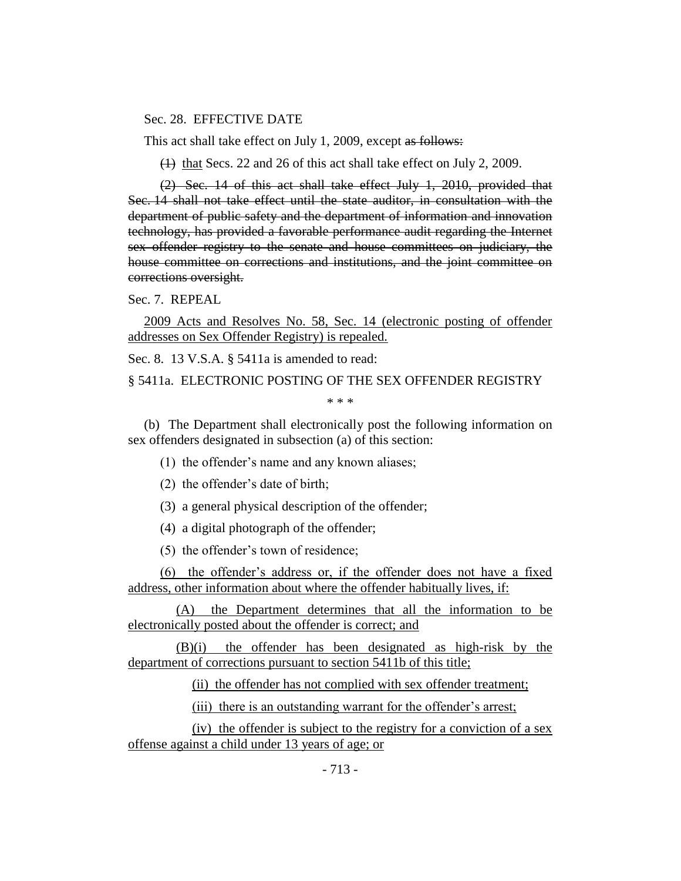#### Sec. 28. EFFECTIVE DATE

This act shall take effect on July 1, 2009, except as follows:

(1) that Secs. 22 and 26 of this act shall take effect on July 2, 2009.

(2) Sec. 14 of this act shall take effect July 1, 2010, provided that Sec. 14 shall not take effect until the state auditor, in consultation with the department of public safety and the department of information and innovation technology, has provided a favorable performance audit regarding the Internet sex offender registry to the senate and house committees on judiciary, the house committee on corrections and institutions, and the joint committee on corrections oversight.

Sec. 7. REPEAL

2009 Acts and Resolves No. 58, Sec. 14 (electronic posting of offender addresses on Sex Offender Registry) is repealed.

Sec. 8. 13 V.S.A. § 5411a is amended to read:

§ 5411a. ELECTRONIC POSTING OF THE SEX OFFENDER REGISTRY

\* \* \*

(b) The Department shall electronically post the following information on sex offenders designated in subsection (a) of this section:

(1) the offender's name and any known aliases;

(2) the offender's date of birth;

(3) a general physical description of the offender;

(4) a digital photograph of the offender;

(5) the offender's town of residence;

(6) the offender's address or, if the offender does not have a fixed address, other information about where the offender habitually lives, if:

(A) the Department determines that all the information to be electronically posted about the offender is correct; and

(B)(i) the offender has been designated as high-risk by the department of corrections pursuant to section 5411b of this title;

(ii) the offender has not complied with sex offender treatment;

(iii) there is an outstanding warrant for the offender's arrest;

(iv) the offender is subject to the registry for a conviction of a sex offense against a child under 13 years of age; or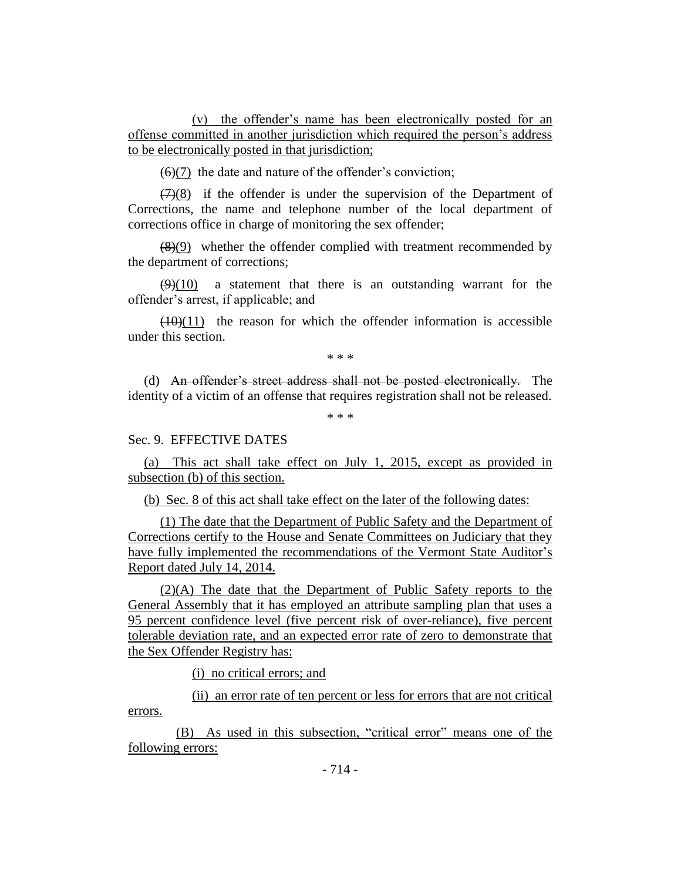(v) the offender's name has been electronically posted for an offense committed in another jurisdiction which required the person's address to be electronically posted in that jurisdiction;

 $(6)(7)$  the date and nature of the offender's conviction;

 $(7)(8)$  if the offender is under the supervision of the Department of Corrections, the name and telephone number of the local department of corrections office in charge of monitoring the sex offender;

 $(8)(9)$  whether the offender complied with treatment recommended by the department of corrections;

 $(9)(10)$  a statement that there is an outstanding warrant for the offender's arrest, if applicable; and

 $(10)(11)$  the reason for which the offender information is accessible under this section.

\* \* \*

(d) An offender's street address shall not be posted electronically. The identity of a victim of an offense that requires registration shall not be released.

\* \* \*

## Sec. 9. EFFECTIVE DATES

(a) This act shall take effect on July 1, 2015, except as provided in subsection (b) of this section.

(b) Sec. 8 of this act shall take effect on the later of the following dates:

(1) The date that the Department of Public Safety and the Department of Corrections certify to the House and Senate Committees on Judiciary that they have fully implemented the recommendations of the Vermont State Auditor's Report dated July 14, 2014.

(2)(A) The date that the Department of Public Safety reports to the General Assembly that it has employed an attribute sampling plan that uses a 95 percent confidence level (five percent risk of over-reliance), five percent tolerable deviation rate, and an expected error rate of zero to demonstrate that the Sex Offender Registry has:

(i) no critical errors; and

(ii) an error rate of ten percent or less for errors that are not critical errors.

(B) As used in this subsection, "critical error" means one of the following errors: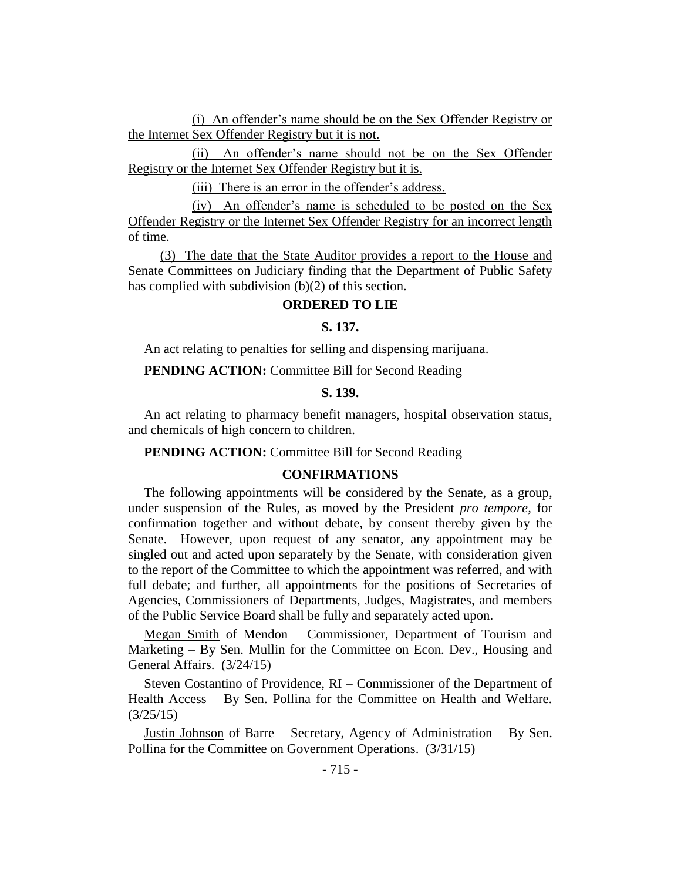(i) An offender's name should be on the Sex Offender Registry or the Internet Sex Offender Registry but it is not.

(ii) An offender's name should not be on the Sex Offender Registry or the Internet Sex Offender Registry but it is.

(iii) There is an error in the offender's address.

(iv) An offender's name is scheduled to be posted on the Sex Offender Registry or the Internet Sex Offender Registry for an incorrect length of time.

(3) The date that the State Auditor provides a report to the House and Senate Committees on Judiciary finding that the Department of Public Safety has complied with subdivision (b)(2) of this section.

#### **ORDERED TO LIE**

#### **S. 137.**

An act relating to penalties for selling and dispensing marijuana.

**PENDING ACTION:** Committee Bill for Second Reading

#### **S. 139.**

An act relating to pharmacy benefit managers, hospital observation status, and chemicals of high concern to children.

**PENDING ACTION:** Committee Bill for Second Reading

## **CONFIRMATIONS**

The following appointments will be considered by the Senate, as a group, under suspension of the Rules, as moved by the President *pro tempore,* for confirmation together and without debate, by consent thereby given by the Senate. However, upon request of any senator, any appointment may be singled out and acted upon separately by the Senate, with consideration given to the report of the Committee to which the appointment was referred, and with full debate; and further, all appointments for the positions of Secretaries of Agencies, Commissioners of Departments, Judges, Magistrates, and members of the Public Service Board shall be fully and separately acted upon.

Megan Smith of Mendon – Commissioner, Department of Tourism and Marketing – By Sen. Mullin for the Committee on Econ. Dev., Housing and General Affairs. (3/24/15)

Steven Costantino of Providence, RI – Commissioner of the Department of Health Access – By Sen. Pollina for the Committee on Health and Welfare. (3/25/15)

Justin Johnson of Barre – Secretary, Agency of Administration – By Sen. Pollina for the Committee on Government Operations. (3/31/15)